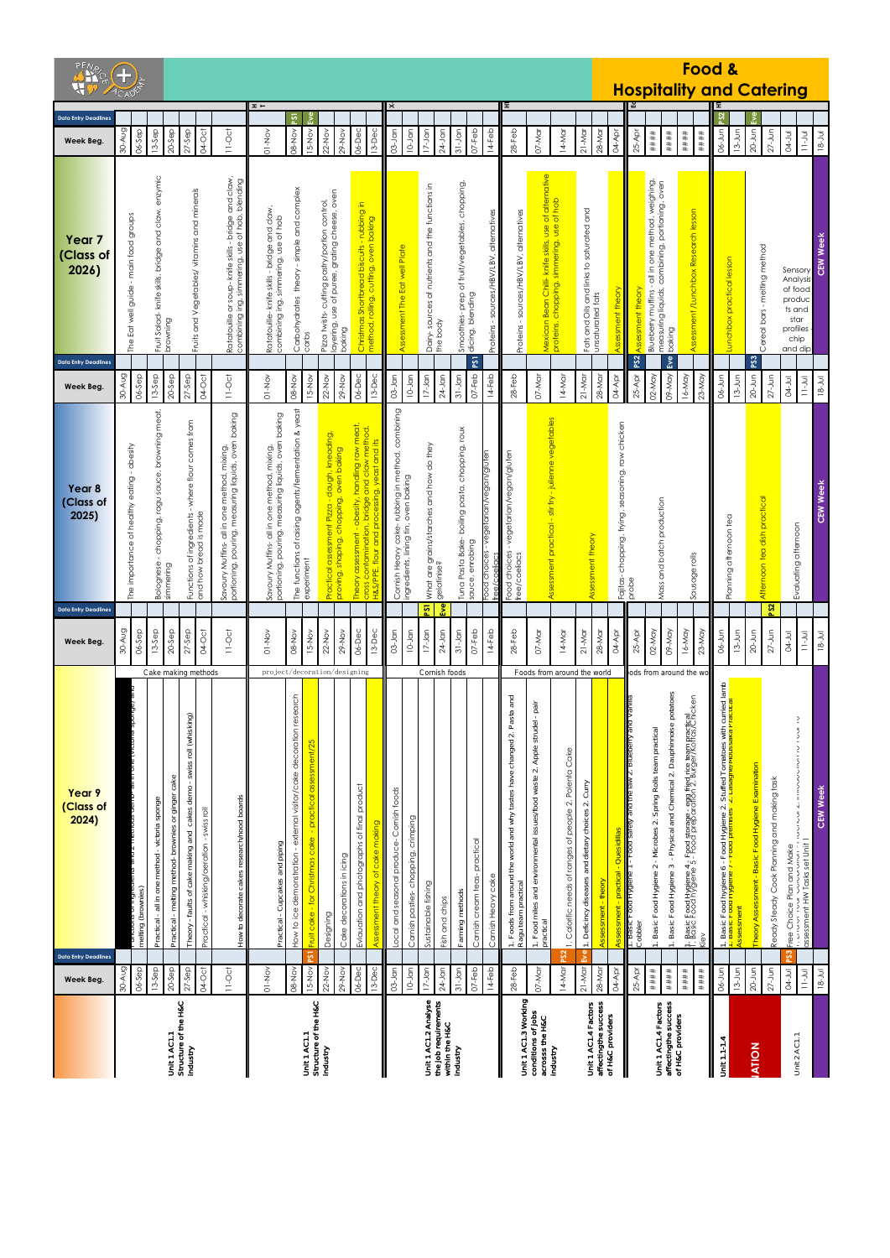|                                                                          | $\bigoplus$<br><b>ACADES</b>                                                                                                                                                                                                                                                                                                   |                                                                                                                                                                                                                                                                                                                                                                                                                                          |                                                                                                                                                                                                                                                                                                                                                             |                                                                                                                                                                                                                                                                                                                                                     | Food &<br><b>Hospitality and Catering</b>                                                                                                                                                                                                                                                                                                                                                                                                                                                                                              |                                                                                                                                                         |
|--------------------------------------------------------------------------|--------------------------------------------------------------------------------------------------------------------------------------------------------------------------------------------------------------------------------------------------------------------------------------------------------------------------------|------------------------------------------------------------------------------------------------------------------------------------------------------------------------------------------------------------------------------------------------------------------------------------------------------------------------------------------------------------------------------------------------------------------------------------------|-------------------------------------------------------------------------------------------------------------------------------------------------------------------------------------------------------------------------------------------------------------------------------------------------------------------------------------------------------------|-----------------------------------------------------------------------------------------------------------------------------------------------------------------------------------------------------------------------------------------------------------------------------------------------------------------------------------------------------|----------------------------------------------------------------------------------------------------------------------------------------------------------------------------------------------------------------------------------------------------------------------------------------------------------------------------------------------------------------------------------------------------------------------------------------------------------------------------------------------------------------------------------------|---------------------------------------------------------------------------------------------------------------------------------------------------------|
| <b>Data Entry Deadlines</b>                                              |                                                                                                                                                                                                                                                                                                                                | $x -$<br>$\overline{13}$<br>နို                                                                                                                                                                                                                                                                                                                                                                                                          | $\dot{\mathbf{x}}$<br>Œ,                                                                                                                                                                                                                                                                                                                                    |                                                                                                                                                                                                                                                                                                                                                     | PS2                                                                                                                                                                                                                                                                                                                                                                                                                                                                                                                                    | Ē٧e                                                                                                                                                     |
| Week Beg.                                                                | 30-Aug<br>06-Sep<br>$20-5ep$<br>$27-$ Sep<br>04-Oct<br>$11-Oct$<br>$13-5ep$                                                                                                                                                                                                                                                    | 06-Dec<br>$13$ -Dec<br>08-Nov<br>15-Nov<br>$22-NOV$<br>$O1-NO$<br>$29 - No$                                                                                                                                                                                                                                                                                                                                                              | $10 - Jan$<br>$28$ -Feb<br>$03 - Jan$<br>$17-$ Jan<br>$24$ -Jan<br>$31-Jan$<br>$07 - Feb$<br>$14-Feb$                                                                                                                                                                                                                                                       | 07-Mar<br>$21-Mar$<br>28-Mar<br>14-Mar<br>04-Apr                                                                                                                                                                                                                                                                                                    | $06 - Jun$<br>$13-Jun$<br>$25-AP$<br>$\#$ # $\#$ #<br>$***$<br>$\#$ # $\#$<br>$\# \# \#$                                                                                                                                                                                                                                                                                                                                                                                                                                               | $20 - Jun$<br>$27 - Jun$<br>$\frac{1}{2}$<br>$18 - Jul$<br><b>D4-Jul</b>                                                                                |
| Year <sub>7</sub><br>(Class of<br>2026)<br><b>Data Entry Deadlines</b>   | Fruit Salad- knife skills, bridge and claw, enzymic<br>claw,<br>Ratatouille or soup- knife skills - bridge and claw<br>combining ing, simmering, use of hob, blending<br>Fruits and Vegetables/ vitamins and minerals<br>The Eat well guide - main food groups<br>Ratatouille<br>browning                                      | Carbohydrates theory - simple and complex<br>layering, use of puree, grating cheese, oven<br>Pizza twists-cutting pastry/portion control,<br>Christmas Shortbread biscuits - rubbing in<br>method, rolling, cutting, oven baking<br>Ratatouille- knife skills - bridge and claw.<br>combining ing, simmering, use of hob<br>baking<br>carbs                                                                                              | Smoothies- prep of fruit/vegetables, chopping,<br>dicing, blending<br>Dairy-sources of nutrients and the functions in<br>Proteins - sources/HBV/LBV, alternatives<br>sources/HBV/LBV, alternatives<br>Assessment The Eat well Plate<br>the body<br>Proteins<br>PST                                                                                          | Mexican Bean Chilli- knife skills, use of alternative<br>proteins, chopping, simmering, use of hob<br>Fats and Oils and links to saturated and<br>unsaturated fats<br>ssment theory                                                                                                                                                                 | Blueberry muffins - all in one method, weighing,<br>measuring liquids, combining, portioning, oven<br>Assessment / Lunchbox Research lesson<br>unchbox practical lesson<br>Assessment theory<br>baking<br>PS <sub>2</sub><br>Eve                                                                                                                                                                                                                                                                                                       | <b>CEW Week</b><br>Cereal bars - melting method<br>Sensory<br>Analysis<br>of food<br>produc<br>ts and<br>star<br>profiles<br>chip<br>and dip<br>PS3     |
| Week Beg.                                                                | 30-Aug<br>$27-$ Sep<br>04-Oct<br>06-Sep<br>$20-$ Sep<br>$11-Oc$<br>$13-5ep$                                                                                                                                                                                                                                                    | 06-Dec<br>13-Dec<br>08-Nov<br>15-Nov<br>$22-Nov$<br>$29-NOV$<br>$01-NO$                                                                                                                                                                                                                                                                                                                                                                  | $10-$ Jan<br>$24$ -Jan<br>$03 - Jan$<br>$17-$ Jan<br>$31-Jan$<br>$07 - Feb$<br>$14-Feb$<br>$28 - Feb$                                                                                                                                                                                                                                                       | $28 - M$ ar<br>07-Mar<br>$21-Mar$<br>04-Apr<br>14-Mar                                                                                                                                                                                                                                                                                               | 09-May<br>16-May<br>23-May<br>$25-AP$<br>02-May<br>06-Jun<br>$13-Jun$                                                                                                                                                                                                                                                                                                                                                                                                                                                                  | $20 - J$ un<br>$27 - J$ un<br>$11 - J$ ul<br><b>D4-Jul</b><br>$18 - Jul$                                                                                |
| Year <sub>8</sub><br>(Class of<br>2025)                                  | g, ragu sauce, browning meat,<br>measuring liquids, oven baking<br>where flour comes from<br>ealthy eating - obesity<br>mixing,<br>Savoury Muffins- all in one method,<br>Functions of ingredients -<br>and how bread is made<br>The importance of h<br>- choppir<br>portioning, pouring,<br>Bolognese<br>simmering            | ng agents/fermentation & yeast<br>measuring liquids, oven baking<br>obesity, handling raw meat,<br>, bridge and claw method,<br>t Pizza - dough, kneading,<br>yeast and its<br>method, mixing,<br>opping, oven baking<br>one<br>Savoury Muffins- all in<br>The functions of raisi<br>proving, shaping, ch<br>cross contamination<br>Practical assessmen<br>portioning, pouring,<br>H&S/PPE, flour and<br>Theory assessment<br>experiment | Cornish Heavy cake-rubbing in method, combining<br>piling pasta, chopping, roux<br>ches and how do they<br>tarian/vegan/gluten<br>tarian/vegan/gluten<br>oven baking<br>ingredients, lining tin,<br>What are grains/star<br>gelatinise?<br>vege<br>vege<br>Tuna Pasta Bake- b<br>sauce, enrobing<br>Food choices<br>coa choices<br>free/coeliacs<br>coeliac | - stir fry - juilenne vegetables<br>chopping, frying, seasoning, raw chicken<br>Assessment practical<br>Assessment theory<br>Fajitas-<br>probe                                                                                                                                                                                                      | duction<br>ЮФ.<br>Mass and batch pro<br>Planning afternoon<br>Sausage rolls                                                                                                                                                                                                                                                                                                                                                                                                                                                            | <b>CEW Week</b><br>practical<br>Evaluating afternoon<br>Afternoon tea dish                                                                              |
| <b>Data Entry Deadlines</b><br>Week Beg                                  | 30-Aug<br>04-Oct<br>$11-Oc†$<br>06-Sep<br>$13-5ep$<br>$20-$ Sep<br>$27-$ Sep                                                                                                                                                                                                                                                   | 06-Dec<br>$13 - Dec$<br>$O1-NO$<br>15-Nov<br>$22-NOV$<br>$29 - NOV$<br>08-Nov                                                                                                                                                                                                                                                                                                                                                            | PS1<br>Ēме<br>$17-$ Jan<br>$24$ -Jan<br>$31-Jan$<br>$07 - Feb$<br>$28 - Feb$<br>$03 - Jan$<br>$10-$ Jan<br>$14-Feb$                                                                                                                                                                                                                                         | 07-Mar<br>$21-M$ ar<br>$28 - M$ ar<br>04-Apr<br>14-Mar                                                                                                                                                                                                                                                                                              | 02-May<br>09-May<br>$16-May$<br>$23-May$<br>$25-Apr$<br>$13 - Jun$<br>06-Jun                                                                                                                                                                                                                                                                                                                                                                                                                                                           | PS2<br>$20 - Jun$<br>$27 - Jun$<br><b>D4-Jul</b><br>$18 - Jul$<br>$11 - J$ ul                                                                           |
| Year 9<br><mark>(Class of</mark><br>2024)<br><b>Data Entry Deadlines</b> | Cake making methods<br>cakes demo - swiss roll (whisking)<br>Practical - melting method- brownies or ginger cake<br>How to decorate cakes research/nood boards<br>Practical - all in one method - victoria sponge<br>Practical - whisking/aeration - swiss roll<br>- faults of cake making and<br>melting (brownies)<br>Theory | project/decoration/designing<br>How to ice demonstration - external visitor/cake decoration research<br>- practical assessment/25<br>Evlauation and photographs of final product<br>Assessment theory of cake making<br>Fruit cake - for Christmas cake<br>Practical - Cupcakes and piping<br>Cake decorations in icing<br>Designing<br>Σő                                                                                               | Cornish foods<br>1. Foods from around the world and why tastes have changed 2. Pasta and<br>Local and seasonal produce-Comish foods<br>Comish pasties-chopping, crimping<br>practical<br>Comish cream teas-<br>Comish Heavy cake<br>Ragu team practical<br>Sustainable fishing<br>Farming methods<br>Fish and chips                                         | Foods from around the world<br>pair<br>Apple strudel<br>1. Calorific needs of ranges of people 2. Polenta Cake<br>Food miles and environmental issues/food waste 2.<br>1. Deficincy diseases and dietary choices 2. Curry<br>Quesidillas<br><b>Dractical</b><br>əuəlɓƙµ poo<br>Assessment - theory<br>practical<br>$\div$<br>eve.<br>$\mathfrak{A}$ | ods from around the wc<br>1. Basic Food hygiene 6 - Food Hygiene 2. Stuffed Tomatoes with curried lamb<br><mark> разы гооч пуу</mark> ны <mark>и 7 - гооч и епизеэ -2. дазауны woussaka гладка —</mark><br>- Physical and Chemical 2. Dauphinnoise potatoes<br>1. Basic Food Hygiene 4 - Food storage - egg fried rice team practical<br>1. Basic Food Hygiene 5 - Food preparation 2. Burger/Koftas/Chicken<br>Basic Food Hygiene 2 - Microbes 2. Spring Rolls team practical<br>Basic Food Hygiene 3<br>ssessment<br>Cobbler<br>Kiev | $\frac{2}{3}$<br>シリンニン こうこう<br>Theory Assessment - Basic Food Hygiene Examination<br>Ready Steady Cook Planning and making task<br><b>CEW Week</b><br>ຌ |
| Week Beg.                                                                | 30-Aug<br>$06-5ep$<br>$20-$ Sep<br>$27-$ Sep<br>$13-5ep$<br>04-Oct<br>$11-0c$                                                                                                                                                                                                                                                  | 06-Dec<br>$13$ -Dec<br>15-Nov<br>$22-NOV$<br>29-Nov<br>08-Nov<br>$O1 - NO$                                                                                                                                                                                                                                                                                                                                                               | $10 - Jan$<br>$24$ -Jan<br>$03 - Jan$<br>$\frac{1}{7}$ -Jan<br>$31-Jan$<br>$07 - Feb$<br>$14$ -Feb<br>$28-Feb$                                                                                                                                                                                                                                              | $21-Mor$<br>14-Mar<br>28-Mar<br>04-Apr<br>07-Mar                                                                                                                                                                                                                                                                                                    | 06-Jun<br>$25-Apr$<br>$13 - Jun$<br>####<br>####<br>####<br>$\# \# \#$                                                                                                                                                                                                                                                                                                                                                                                                                                                                 | $27 - Jun$<br>$20 - J$ un<br>04-Jul<br>$11-1$ ul<br>$18 - Jul$                                                                                          |
|                                                                          | Structure of the H&C<br>Unit 1 AC1.1<br>Industry                                                                                                                                                                                                                                                                               | Unit 1 AC1.1<br>Structure of the H&C<br>Industry                                                                                                                                                                                                                                                                                                                                                                                         | Unit 1 AC1.2 Analyse<br>the job requirements<br>within the H&C<br>Industry                                                                                                                                                                                                                                                                                  | Unit 1 AC1.3 Working<br>conditions of Jobs<br>Unit 1 AC1.4 Factors<br>affectingthe success<br>of H&C providers<br>acrosss the H&C<br>industry                                                                                                                                                                                                       | Unit 1 AC1.4 Factors<br>affectingthe success<br>of H&C providers<br>Unit 1.1-1.4                                                                                                                                                                                                                                                                                                                                                                                                                                                       | Unit 2 AC1.1<br><b>ATION</b>                                                                                                                            |
|                                                                          |                                                                                                                                                                                                                                                                                                                                |                                                                                                                                                                                                                                                                                                                                                                                                                                          |                                                                                                                                                                                                                                                                                                                                                             |                                                                                                                                                                                                                                                                                                                                                     |                                                                                                                                                                                                                                                                                                                                                                                                                                                                                                                                        |                                                                                                                                                         |